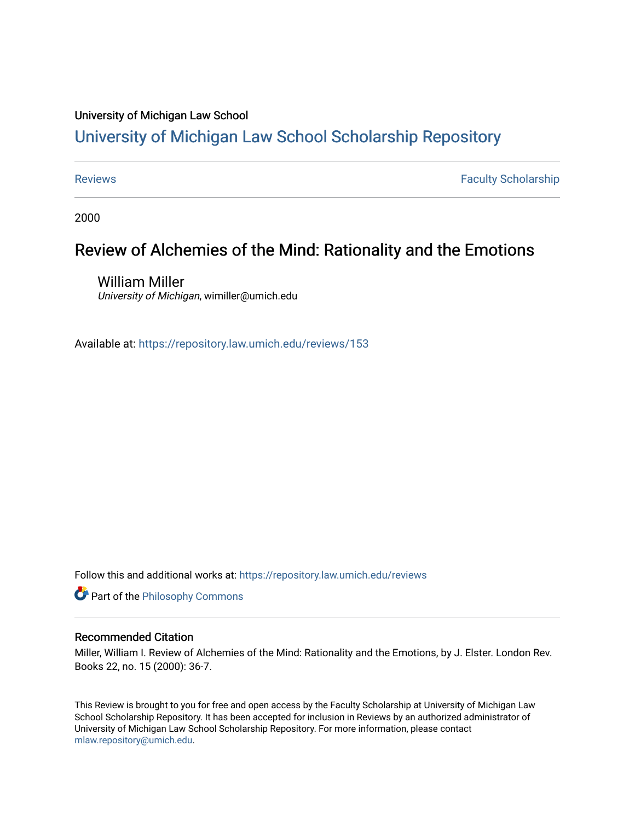## University of Michigan Law School

# [University of Michigan Law School Scholarship Repository](https://repository.law.umich.edu/)

[Reviews](https://repository.law.umich.edu/reviews) **Faculty Scholarship Faculty Scholarship Faculty Scholarship** 

2000

# Review of Alchemies of the Mind: Rationality and the Emotions

William Miller University of Michigan, wimiller@umich.edu

Available at: <https://repository.law.umich.edu/reviews/153>

Follow this and additional works at: [https://repository.law.umich.edu/reviews](https://repository.law.umich.edu/reviews?utm_source=repository.law.umich.edu%2Freviews%2F153&utm_medium=PDF&utm_campaign=PDFCoverPages) 

**Part of the Philosophy Commons** 

### Recommended Citation

Miller, William I. Review of Alchemies of the Mind: Rationality and the Emotions, by J. Elster. London Rev. Books 22, no. 15 (2000): 36-7.

This Review is brought to you for free and open access by the Faculty Scholarship at University of Michigan Law School Scholarship Repository. It has been accepted for inclusion in Reviews by an authorized administrator of University of Michigan Law School Scholarship Repository. For more information, please contact [mlaw.repository@umich.edu.](mailto:mlaw.repository@umich.edu)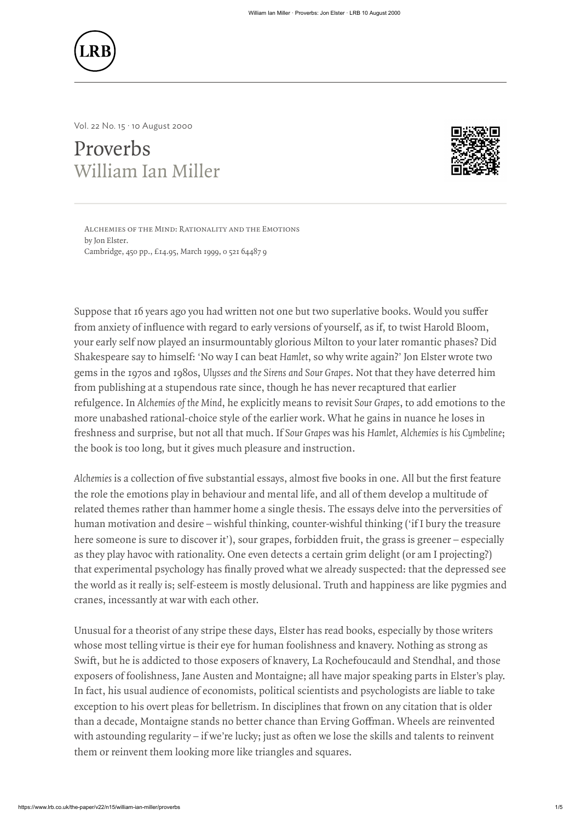

# Proverbs [William Ian Miller](https://www.lrb.co.uk/contributors/william-ian-miller) William Line Mind: Proveds, son Eiser (LTB 10 August 2000)<br>
Al. 22 No. 15 ' 10 August 2000<br>
TOVETOS<br>
Villiam Ian Miller<br>
Alchemies of the Mind: Rationality and the Emotions<br>
Alchemies of the Mind: Rationality and the Emoti



by [Jon Elster](https://www.lrb.co.uk/search-results?search=Jon%20Elster). Cambridge, 450 pp., £14.95, March 1999, 0 521 64487 9 SUPPOSE THE MIND: RATIONAL PROPERTIES TO AUGUST 2000<br>
SUPPOSE THE MIND: RATIONALITY AND THE INOTIONS<br>
NUTILIATION THE MIND: RATIONALITY AND THE INOTIONS<br>
SUPPOSE that 16 years ago you had written not one but two superlativ

From anxiety of influence with regard to early versions of yourself, as if, to twist Harold Bloom,<br>
Suppose that 16 years ago you had written not one but two superlative books. Would you suffer<br>
From anxiety of influence w your early self now played an insurmountably glorious Milton to your later romantic phases? Did Shakespeare say to himself: 'No way I can beat Hamlet, so why write again?' Jon Elster wrote two gems in the 1970s and 1980s, Ulysses and the Sirens and Sour Grapes. Not that they have deterred him from publishing at a stupendous rate since, though he has never recaptured that earlier refulgence. In Alchemies of the Mind, he explicitly means to revisit Sour Grapes, to add emotions to the more unabashed rational-choice style of the earlier work. What he gains in nuance he loses in freshness and surprise, but not all that much. If Sour Grapes was his Hamlet, Alchemies is his Cymbeline; the book is too long, but it gives much pleasure and instruction. **EXECUTE:**<br>
Although stress is a collection of five substantial essays, almost five books in one. All but the first feature<br>
Although stress are collected of the substantial estate of the substantial estate of the first f **EXED**<br>
Sources and August 2000<br> **EXECUTES**<br>
Sources and August 2000<br> **EXECUTES**<br>
Sources and August 2000<br>
CONSERVANCE TRIET CONSERVANCE CONSERVANCE CONSERVANCE CONSERVANCE CONSERVANCE<br>
Sources and the departs ago you had SWEET AND THE INTERT WAS A CONSIDENT THE INTERFERING THE INTERFERING THE INTERFERING THE INTERFERING THE INTERFERING THE INTERFERING THE INTERFERING CONSIDER THE INTERFERING CONSIDER THE INTERFERING CONSIDER THE INTERFERI N WHERE THE SECTION WE WE CONSIDER THE VALUE OF THE VALUE OF THE VALUE OF THE VALUE OF THE VALUE OF THE VALUE OF THE VALUE OF THE VALUE OF THE VALUE OF THE VALUE OF THE VALUE OF THE VALUE OF THE VALUE OF THE VALUE OF THE when the mean standard as  $\mu$  as  $\mu$  as  $\mu$  as  $\mu$  as  $\mu$  as  $\mu$  as  $\mu$  as  $\mu$  as  $\mu$  as  $\mu$  as  $\mu$  as  $\mu$  as  $\mu$  as  $\mu$  as  $\mu$  as  $\mu$  as  $\mu$  as  $\mu$  as  $\mu$  as  $\mu$  as  $\mu$  as  $\mu$  as  $\mu$  as  $\mu$  as  $\mu$ 

[Vol. 22 No. 15 · 10 August 2000](https://www.lrb.co.uk/the-paper/v22/n15)

the role the emotions play in behaviour and mental life, and all of them develop a multitude of related themes rather than hammer home a single thesis. The essays delve into the perversities of human motivation and desire – wishful thinking, counter-wishful thinking ('if I bury the treasure here someone is sure to discover it'), sour grapes, forbidden fruit, the grass is greener – especially as they play havoc with rationality. One even detects a certain grim delight (or am I projecting?) the world as it really is; self-esteem is mostly delusional. Truth and happiness are like pygmies and cranes, incessantly at war with each other.

Unusual for a theorist of any stripe these days, Elster has read books, especially by those writers whose most telling virtue is their eye for human foolishness and knavery. Nothing as strong as exposers of foolishness, Jane Austen and Montaigne; all have major speaking parts in Elster's play. In fact, his usual audience of economists, political scientists and psychologists are liable to take exception to his overt pleas for belletrism. In disciplines that frown on any citation that is older them or reinvent them looking more like triangles and squares.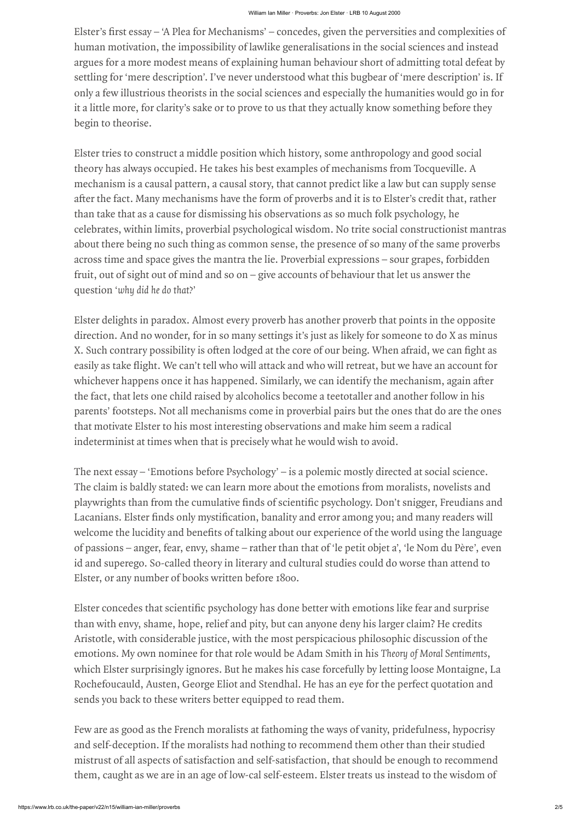human motivation, the impossibility of lawlike generalisations in the social sciences and instead argues for a more modest means of explaining human behaviour short of admitting total defeat by settling for 'mere description'. I've never understood what this bugbear of 'mere description' is. If only a few illustrious theorists in the social sciences and especially the humanities would go in for it a little more, for clarity's sake or to prove to us that they actually know something before they begin to theorise. argues for a more modest means of explaining human behaviour short of admitting total defeat l<br>settling for 'mere description'. I've never understood what this bugbear of 'mere description' is.<br>Ionly a few illustrious theo

Lister sincesessy. "A Plea for Mechanisms" – concedes, given the perversisies and completisties (hereafts for Mechanisms') – the mean to conceles and monomic of sympatrical of the persister for ancore methanic strategy an Elster tries to construct a middle position which history, some anthropology and good social theory has always occupied. He takes his best examples of mechanisms from Tocqueville. A mechanism is a causal pattern, a causal story, that cannot predict like a law but can supply sense than take that as a cause for dismissing his observations as so much folk psychology, he celebrates, within limits, proverbial psychological wisdom. No trite social constructionist mantras about there being no such thing as common sense, the presence of so many of the same proverbs across time and space gives the mantra the lie. Proverbial expressions – sour grapes, forbidden fruit, out of sight out of mind and so on – give accounts of behaviour that let us answer the question 'why did he do that?' **Example 19 Example 10 Controllar Controllar Controllar** (1918  $\mu$  and complexiities of thurman inotivation, the impossibility of lawility is concedes, given the perversities and consulaties of at the contrary and in Ellister's first essay – 'A Plea for Mechanisms' – concedes, given the perversities and complexities<br>abunuan motivation, the impossibility of lawlike generalisations in the social sciences and instead<br>argues for a more mo whene view - 2000 to - 2000 to - 2000 to - 2000 to - 2000 to - 2000 to - 2000 to - 2000 to - 2000 to - 2000 to - 2000 to - 2000 to - 2000 to - 2000 to - 2000 to - 2000 to - 2000 to - 2000 to - 2000 to - 2000 to - 2000 to -**Elsert's first essay** --- A Dea for Mechanismi - concedes, given the perceristes and complexities of thuman mutivation, the impossibility of lawihle generalisations in the social sciences and instead<br>hymnes for a more mo Share when the star is the Molecular star in the star in the star in the star in the star in the star in the star in the star in the star in the star in the star in the star in the star in the star in the star in the star **Example 12**<br> **Example 18**<br> **Example 16** the formula in conceles, given the percenticis and complexities of<br>
human moricalito, the impossibility of landing human behaviour short of collabilities of<br> **Example 5** for annote If ster s first essay – 'n Plea for Mechanism's - "news series" are notes that scientific politics of contents and complexite of burnta nutricaion, the interpretention from the prevention and isomethe scientific particles

Elster delights in paradox. Almost every proverb has another proverb that points in the opposite direction. And no wonder, for in so many settings it's just as likely for someone to do X as minus the fact, that lets one child raised by alcoholics become a teetotaller and another follow in his parents' footsteps. Not all mechanisms come in proverbial pairs but the ones that do are the ones that motivate Elster to his most interesting observations and make him seem a radical indeterminist at times when that is precisely what he would wish to avoid.

The next essay – 'Emotions before Psychology' – is a polemic mostly directed at social science. The claim is baldly stated: we can learn more about the emotions from moralists, novelists and of passions – anger, fear, envy, shame – rather than that of 'le petit objet a', 'le Nom du Père', even id and superego. So-called theory in literary and cultural studies could do worse than attend to Elster, or any number of books written before 1800.

than with envy, shame, hope, relief and pity, but can anyone deny his larger claim? He credits Aristotle, with considerable justice, with the most perspicacious philosophic discussion of the emotions. My own nominee for that role would be Adam Smith in his Theory of Moral Sentiments, which Elster surprisingly ignores. But he makes his case forcefully by letting loose Montaigne, La Rochefoucauld, Austen, George Eliot and Stendhal. He has an eye for the perfect quotation and sends you back to these writers better equipped to read them.

Few are as good as the French moralists at fathoming the ways of vanity, pridefulness, hypocrisy and self-deception. If the moralists had nothing to recommend them other than their studied mistrust of all aspects of satisfaction and self-satisfaction, that should be enough to recommend them, caught as we are in an age of low-cal self-esteem. Elster treats us instead to the wisdom of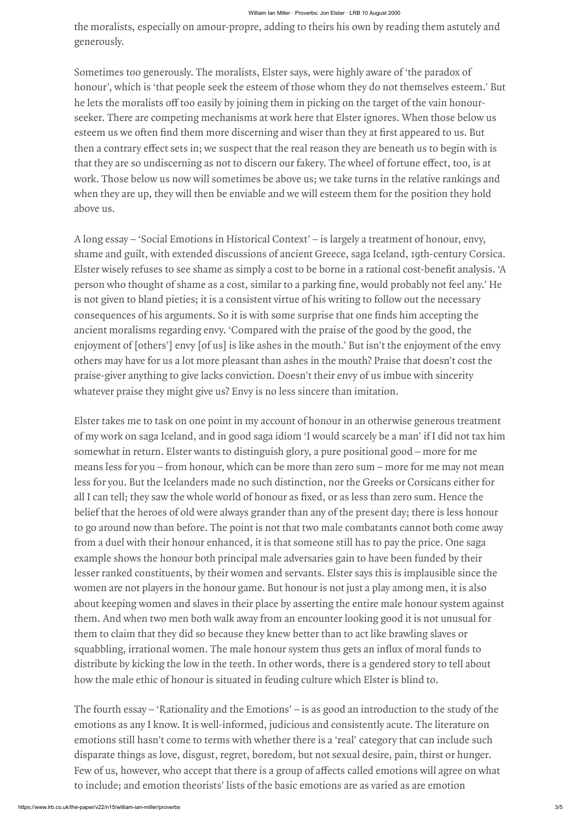Sometimes too generously. The moralists, Elster says, were highly aware of 'the paradox of honour', which is 'that people seek the esteem of those whom they do not themselves esteem.' But seeker. There are competing mechanisms at work here that Elster ignores. When those below us then a contrary effect sets in; we suspect that the real reason they are beneath us to begin with is<br>that they are so undiscerning as not to discern our fakery. The wheel of fortune effect, too, is at<br>work. Those below us that they are so undiscerning as not to discern our fakery. The wheel of fortune effect, too, is at<br>work. Those below us now will sometimes be above us; we take turns in the relative rankings and<br>when they are up, they wil work. Those below us now will sometimes be above us; we take turns in the relative rankings and when they are up, they will then be enviable and we will esteem them for the position they hold above us. WHENDER WHEN DEVANDENT WE DONTIFY INTO DRESS SURFARE SURFARE INTO THE SURFARE SURFARE INTO THE MORE TO DRESS SURFARE SURFARE SURFARE SURFARE SURFARE AND MONUT, which is that people seek the esteem of those whom they do not **Example 19** who the moralists, especially on amour-propre, adding to theirs his own by reading them astutely and generously.<br>
Sometimes too generously. The moralists, Elster says, were highly aware of 'the paradox of bono Example 2011 When levels are them or specially on amour-propre, adding to theirs his own by reading them astutely and generously.<br>
Sometimes too generously. The moralists, Elster says, were highly aware of the paradox of<br>

he lets the moralists off too casily by joining them in picking on the target of the wain honour-<br>he lets the moralists off too easily by joining them in picking on the target of the wain honour-<br>seeder. There are comparin esteem us we often find them more discerning and wiser than they at first appeared to us. But<br>then a contrary effect sets in, we suspect that the real reason they are beneath us to begin with is<br>that they are so undiscerni A long essay – 'Social Emotions in Historical Context' – is largely a treatment of honour, envy, shame and guilt, with extended discussions of ancient Greece, saga Iceland, 19th-century Corsica. is not given to bland pieties; it is a consistent virtue of his writing to follow out the necessary ancient moralisms regarding envy. 'Compared with the praise of the good by the good, the enjoyment of [others'] envy [of us] is like ashes in the mouth.' But isn't the enjoyment of the envy others may have for us a lot more pleasant than ashes in the mouth? Praise that doesn't cost the praise-giver anything to give lacks conviction. Doesn't their envy of us imbue with sincerity whatever praise they might give us? Envy is no less sincere than imitation. **Example 18** and the mondists, especially on amour-propee, adding to theirs his own by reading them astuely and<br>generously. Sometimes too generously. The mondiats, Elster says, were highly aware of 'the paradox of<br>thement'

the morality constant propre, staling or their bis own by mainly and<br>synchronic Source of the morality and the morality and the main of the morality of the morality of the more of the more of the more of the more of the mo Elster takes me to task on one point in my account of honour in an otherwise generous treatment of my work on saga Iceland, and in good saga idiom 'I would scarcely be a man' if I did not tax him somewhat in return. Elster wants to distinguish glory, a pure positional good – more for me means less for you – from honour, which can be more than zero sum – more for me may not mean less for you. But the Icelanders made no such distinction, nor the Greeks or Corsicans either for belief that the heroes of old were always grander than any of the present day; there is less honour to go around now than before. The point is not that two male combatants cannot both come away from a duel with their honour enhanced, it is that someone still has to pay the price. One saga example shows the honour both principal male adversaries gain to have been funded by their lesser ranked constituents, by their women and servants. Elster says this is implausible since the women are not players in the honour game. But honour is not just a play among men, it is also about keeping women and slaves in their place by asserting the entire male honour system against them. And when two men both walk away from an encounter looking good it is not unusual for them to claim that they did so because they knew better than to act like brawling slaves or the meralities, especially on amou- youve a resear solence is very staing them assumes the merelian of the male honour system in the male honour system of the male honour system in the male honour system of the merelian of distribute by kicking the low in the teeth. In other words, there is a gendered story to tell about how the male ethic of honour is situated in feuding culture which Elster is blind to. the anomalism, espectral by us answer on the swee on the means of the case 75.<br>To the state there is a group of the thermalism, there is a group of a state of the product<br>increase of the means of the state of the state of

generously.

The fourth essay – 'Rationality and the Emotions' – is as good an introduction to the study of the emotions as any I know. It is well-informed, judicious and consistently acute. The literature on emotions still hasn't come to terms with whether there is a 'real' category that can include such disparate things as love, disgust, regret, boredom, but not sexual desire, pain, thirst or hunger. to include; and emotion theorists' lists of the basic emotions are as varied as are emotion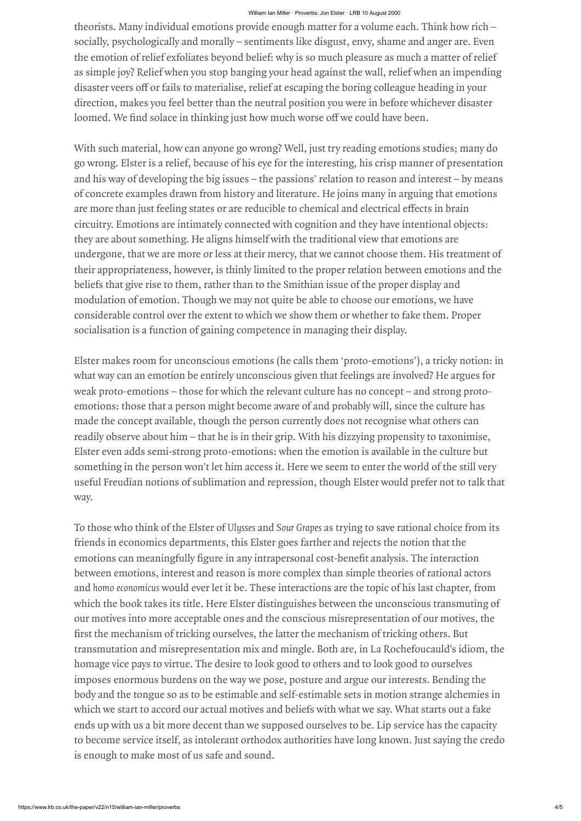# William Ian Miller · Proverbs: Jon Elster · LRB 10 August 2000

socially, psychologically and morally – sentiments like disgust, envy, shame and anger are. Even the emotion of relief exfoliates beyond belief: why is so much pleasure as much a matter of relief as simple joy? Relief when you stop banging your head against the wall, relief when an impending direction, makes you feel better than the neutral position you were in before whichever disaster maria many individual emotions provide more interferome in the computer content of a solution of the concilly, psychologically and morally – sentiments like disgust, envy, shame and anger are. Even the emotion of relief ex

disaster veers of or fails to materialise, relief at escaping the boring colleague heading in your<br>direction, makes you feel better than the neutral position you were in before whichever disaster<br>loomed. We find solace in loomed. We find solace in thinking just how much worse off we could have been.<br>With such material, how can anyone go wrong? Well, just try reading emotions studies; many do<br>go wrong. Elster is a relief, because of his eye With such material, how can anyone go wrong? Well, just try reading emotions studies; many do go wrong. Elster is a relief, because of his eye for the interesting, his crisp manner of presentation and his way of developing the big issues – the passions' relation to reason and interest – by means of concrete examples drawn from history and literature. He joins many in arguing that emotions circuitry. Emotions are intimately connected with cognition and they have intentional objects: they are about something. He aligns himself with the traditional view that emotions are undergone, that we are more or less at their mercy, that we cannot choose them. His treatment of their appropriateness, however, is thinly limited to the proper relation between emotions and the beliefs that give rise to them, rather than to the Smithian issue of the proper display and modulation of emotion. Though we may not quite be able to choose our emotions, we have considerable control over the extent to which we show them or whether to fake them. Proper socialisation is a function of gaining competence in managing their display. emotions can mean to the interactions can mean to the state of the state in state for solutions can mean for the state of the state in any interactions and any interactions and the state of the state of the state of the st **EXECUTE THE CONSULTERT THE MECHANISM CONSULTERT IN THE CONSULTERT IN THE CONSULTERT IN THE CONSULTERT IN THE CONSULTERT IN THE CONSULTERT IN THE CONSULTERT IN THE CONSULTERT IN THE CONSULTERT IN THE CONSULTERT IN THE CONS** 

https://www.lrb.co.uk/the-paper.org/william-in-miller-state-for-state-for-state-for-state-for-state-for-state-for-state-for-state-for-state-for-state-for-state-for-state-for-state-for-state-for-state-for-state-for-state-fo To those who think of the Elster of Ulysses and Sour Grapes as trying to save rational choice from its friends in economics departments, this Elster goes farther and rejects the notion that the between emotions, interest and reason is more complex than simple theories of rational actors and homo economicus would ever let it be. These interactions are the topic of his last chapter, from which the book takes its title. Here Elster distinguishes between the unconscious transmuting of our motives into more acceptable ones and the conscious misrepresentation of our motives, the transmutation and misrepresentation mix and mingle. Both are, in La Rochefoucauld's idiom, the homage vice pays to virtue. The desire to look good to others and to look good to ourselves imposes enormous burdens on the way we pose, posture and argue our interests. Bending the body and the tongue so as to be estimable and self-estimable sets in motion strange alchemies in which we start to accord our actual motives and beliefs with what we say. What starts out a fake ends up with us a bit more decent than we supposed ourselves to be. Lip service has the capacity to become service itself, as intolerant orthodox authorities have long known. Just saying the credo is enough to make most of us safe and sound.

Elster makes room for unconscious emotions (he calls them 'proto-emotions'), a tricky notion: in what way can an emotion be entirely unconscious given that feelings are involved? He argues for weak proto-emotions – those for which the relevant culture has no concept – and strong protoemotions: those that a person might become aware of and probably will, since the culture has made the concept available, though the person currently does not recognise what others can readily observe about him – that he is in their grip. With his dizzying propensity to taxonimise, Elster even adds semi-strong proto-emotions: when the emotion is available in the culture but something in the person won't let him access it. Here we seem to enter the world of the still very useful Freudian notions of sublimation and repression, though Elster would prefer not to talk that way.